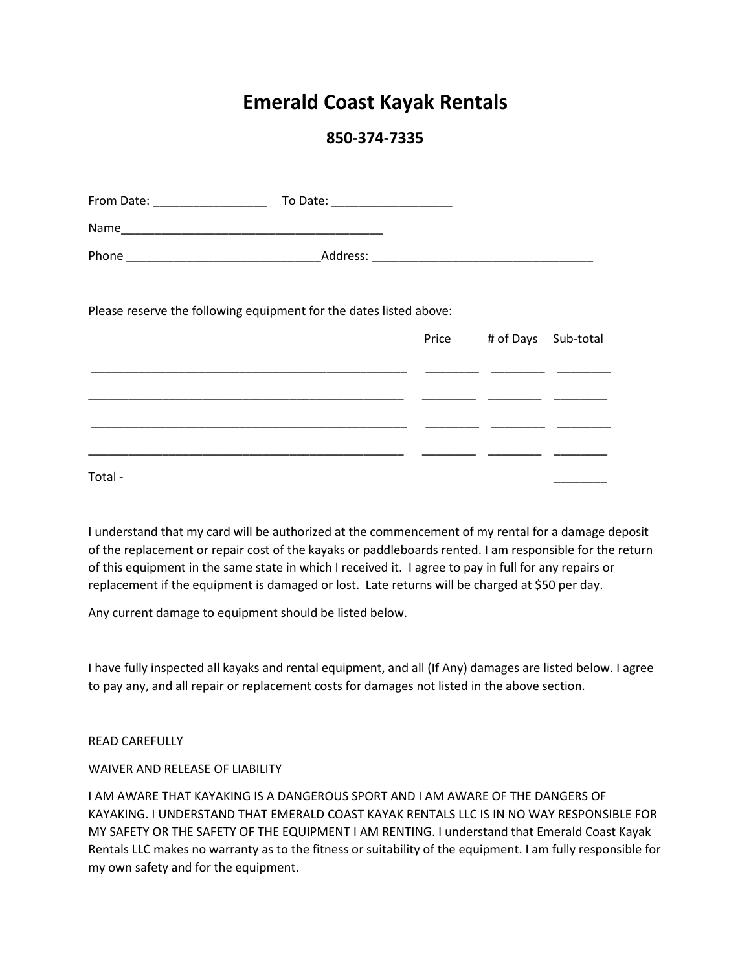# **Emerald Coast Kayak Rentals**

# **850-374-7335**

| From Date: ___________________ | To Date: ____________________                                      |                           |  |
|--------------------------------|--------------------------------------------------------------------|---------------------------|--|
|                                |                                                                    |                           |  |
|                                |                                                                    |                           |  |
|                                | Please reserve the following equipment for the dates listed above: |                           |  |
|                                |                                                                    | Price # of Days Sub-total |  |
|                                |                                                                    |                           |  |
|                                |                                                                    |                           |  |
|                                |                                                                    |                           |  |
| Total -                        |                                                                    |                           |  |

I understand that my card will be authorized at the commencement of my rental for a damage deposit of the replacement or repair cost of the kayaks or paddleboards rented. I am responsible for the return of this equipment in the same state in which I received it. I agree to pay in full for any repairs or replacement if the equipment is damaged or lost. Late returns will be charged at \$50 per day.

Any current damage to equipment should be listed below.

I have fully inspected all kayaks and rental equipment, and all (If Any) damages are listed below. I agree to pay any, and all repair or replacement costs for damages not listed in the above section.

#### READ CAREFULLY

### WAIVER AND RELEASE OF LIABILITY

I AM AWARE THAT KAYAKING IS A DANGEROUS SPORT AND I AM AWARE OF THE DANGERS OF KAYAKING. I UNDERSTAND THAT EMERALD COAST KAYAK RENTALS LLC IS IN NO WAY RESPONSIBLE FOR MY SAFETY OR THE SAFETY OF THE EQUIPMENT I AM RENTING. I understand that Emerald Coast Kayak Rentals LLC makes no warranty as to the fitness or suitability of the equipment. I am fully responsible for my own safety and for the equipment.